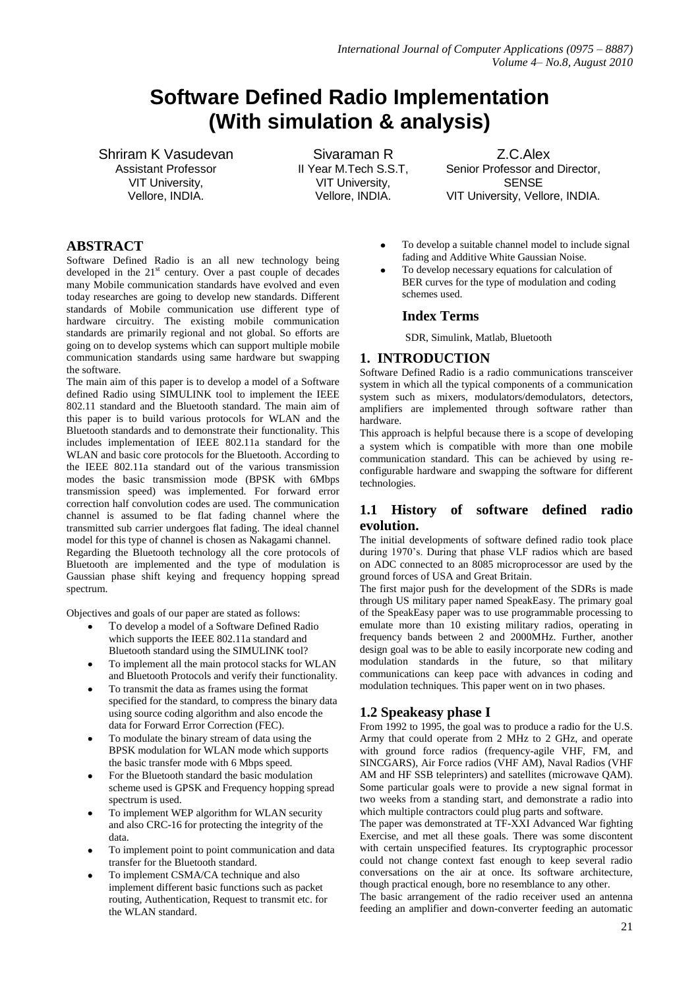# **Software Defined Radio Implementation (With simulation & analysis)**

Shriram K Vasudevan Assistant Professor VIT University, Vellore, INDIA.

Sivaraman R II Year M.Tech S.S.T, VIT University, Vellore, INDIA.

Z.C.Alex Senior Professor and Director, **SENSE** VIT University, Vellore, INDIA.

# **ABSTRACT**

Software Defined Radio is an all new technology being developed in the  $21<sup>st</sup>$  century. Over a past couple of decades many Mobile communication standards have evolved and even today researches are going to develop new standards. Different standards of Mobile communication use different type of hardware circuitry. The existing mobile communication standards are primarily regional and not global. So efforts are going on to develop systems which can support multiple mobile communication standards using same hardware but swapping the software.

The main aim of this paper is to develop a model of a Software defined Radio using SIMULINK tool to implement the IEEE 802.11 standard and the Bluetooth standard. The main aim of this paper is to build various protocols for WLAN and the Bluetooth standards and to demonstrate their functionality. This includes implementation of IEEE 802.11a standard for the WLAN and basic core protocols for the Bluetooth. According to the IEEE 802.11a standard out of the various transmission modes the basic transmission mode (BPSK with 6Mbps transmission speed) was implemented. For forward error correction half convolution codes are used. The communication channel is assumed to be flat fading channel where the transmitted sub carrier undergoes flat fading. The ideal channel model for this type of channel is chosen as Nakagami channel. Regarding the Bluetooth technology all the core protocols of

Bluetooth are implemented and the type of modulation is Gaussian phase shift keying and frequency hopping spread spectrum.

Objectives and goals of our paper are stated as follows:

- To develop a model of a Software Defined Radio which supports the IEEE 802.11a standard and Bluetooth standard using the SIMULINK tool?
- To implement all the main protocol stacks for WLAN and Bluetooth Protocols and verify their functionality.
- To transmit the data as frames using the format specified for the standard, to compress the binary data using source coding algorithm and also encode the data for Forward Error Correction (FEC).
- To modulate the binary stream of data using the BPSK modulation for WLAN mode which supports the basic transfer mode with 6 Mbps speed.
- For the Bluetooth standard the basic modulation scheme used is GPSK and Frequency hopping spread spectrum is used.
- To implement WEP algorithm for WLAN security and also CRC-16 for protecting the integrity of the data.
- To implement point to point communication and data transfer for the Bluetooth standard.
- To implement CSMA/CA technique and also implement different basic functions such as packet routing, Authentication, Request to transmit etc. for the WLAN standard.
- To develop a suitable channel model to include signal fading and Additive White Gaussian Noise.
- To develop necessary equations for calculation of BER curves for the type of modulation and coding schemes used.

# **Index Terms**

SDR, Simulink, Matlab, Bluetooth

# **1. INTRODUCTION**

Software Defined Radio is a radio communications transceiver system in which all the typical components of a communication system such as mixers, modulators/demodulators, detectors, amplifiers are implemented through software rather than hardware.

This approach is helpful because there is a scope of developing a system which is compatible with more than one mobile communication standard. This can be achieved by using reconfigurable hardware and swapping the software for different technologies.

# **1.1 History of software defined radio evolution.**

The initial developments of software defined radio took place during 1970's. During that phase VLF radios which are based on ADC connected to an 8085 microprocessor are used by the ground forces of USA and Great Britain.

The first major push for the development of the SDRs is made through US military paper named SpeakEasy. The primary goal of the SpeakEasy paper was to use programmable processing to emulate more than 10 existing military radios, operating in frequency bands between 2 and 2000MHz. Further, another design goal was to be able to easily incorporate new coding and modulation standards in the future, so that military communications can keep pace with advances in coding and modulation techniques. This paper went on in two phases.

# **1.2 Speakeasy phase I**

From 1992 to 1995, the goal was to produce a radio for the U.S. Army that could operate from 2 MHz to 2 GHz, and operate with ground force radios (frequency-agile VHF, FM, and SINCGARS), Air Force radios (VHF AM), Naval Radios (VHF AM and HF SSB teleprinters) and satellites (microwave QAM). Some particular goals were to provide a new signal format in two weeks from a standing start, and demonstrate a radio into which multiple contractors could plug parts and software.

The paper was demonstrated at TF-XXI Advanced War fighting Exercise, and met all these goals. There was some discontent with certain unspecified features. Its cryptographic processor could not change context fast enough to keep several radio conversations on the air at once. Its software architecture, though practical enough, bore no resemblance to any other.

The basic arrangement of the radio receiver used an antenna feeding an amplifier and down-converter feeding an automatic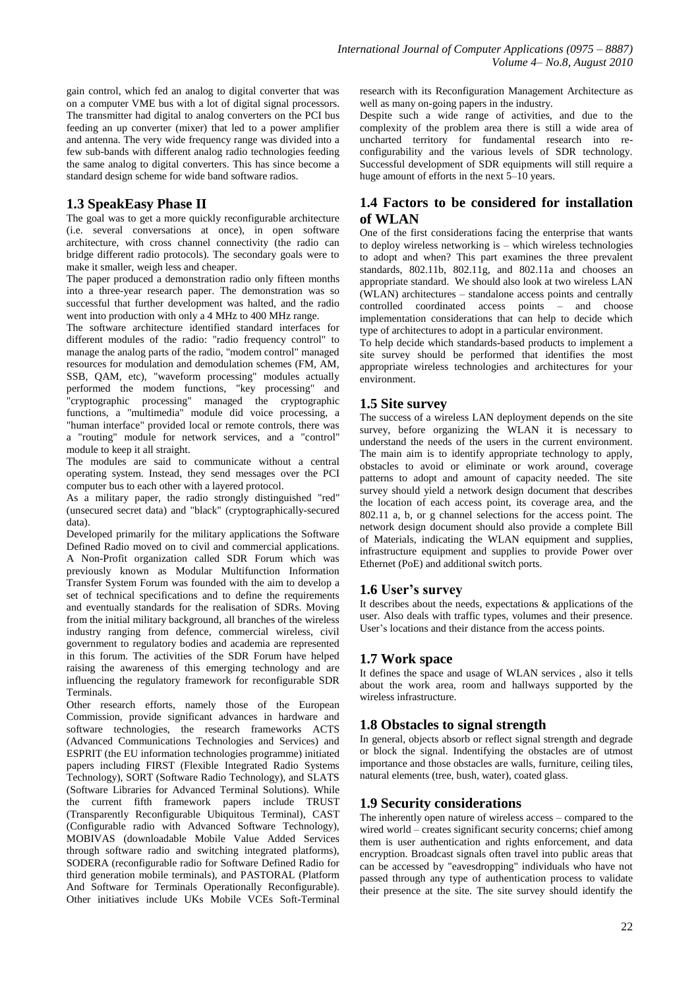gain control, which fed an analog to digital converter that was on a computer VME bus with a lot of digital signal processors. The transmitter had digital to analog converters on the PCI bus feeding an up converter (mixer) that led to a power amplifier and antenna. The very wide frequency range was divided into a few sub-bands with different analog radio technologies feeding the same analog to digital converters. This has since become a standard design scheme for wide band software radios.

# **1.3 SpeakEasy Phase II**

The goal was to get a more quickly reconfigurable architecture (i.e. several conversations at once), in open software architecture, with cross channel connectivity (the radio can bridge different radio protocols). The secondary goals were to make it smaller, weigh less and cheaper.

The paper produced a demonstration radio only fifteen months into a three-year research paper. The demonstration was so successful that further development was halted, and the radio went into production with only a 4 MHz to 400 MHz range.

The software architecture identified standard interfaces for different modules of the radio: "radio frequency control" to manage the analog parts of the radio, "modem control" managed resources for modulation and demodulation schemes (FM, AM, SSB, QAM, etc), "waveform processing" modules actually performed the modem functions, "key processing" and "cryptographic processing" managed the cryptographic functions, a "multimedia" module did voice processing, a "human interface" provided local or remote controls, there was a "routing" module for network services, and a "control" module to keep it all straight.

The modules are said to communicate without a central operating system. Instead, they send messages over the PCI computer bus to each other with a layered protocol.

As a military paper, the radio strongly distinguished "red" (unsecured secret data) and "black" (cryptographically-secured data).

Developed primarily for the military applications the Software Defined Radio moved on to civil and commercial applications. A Non-Profit organization called SDR Forum which was previously known as Modular Multifunction Information Transfer System Forum was founded with the aim to develop a set of technical specifications and to define the requirements and eventually standards for the realisation of SDRs. Moving from the initial military background, all branches of the wireless industry ranging from defence, commercial wireless, civil government to regulatory bodies and academia are represented in this forum. The activities of the SDR Forum have helped raising the awareness of this emerging technology and are influencing the regulatory framework for reconfigurable SDR Terminals.

Other research efforts, namely those of the European Commission, provide significant advances in hardware and software technologies, the research frameworks ACTS (Advanced Communications Technologies and Services) and ESPRIT (the EU information technologies programme) initiated papers including FIRST (Flexible Integrated Radio Systems Technology), SORT (Software Radio Technology), and SLATS (Software Libraries for Advanced Terminal Solutions). While the current fifth framework papers include TRUST (Transparently Reconfigurable Ubiquitous Terminal), CAST (Configurable radio with Advanced Software Technology), MOBIVAS (downloadable Mobile Value Added Services through software radio and switching integrated platforms), SODERA (reconfigurable radio for Software Defined Radio for third generation mobile terminals), and PASTORAL (Platform And Software for Terminals Operationally Reconfigurable). Other initiatives include UKs Mobile VCEs Soft-Terminal research with its Reconfiguration Management Architecture as well as many on-going papers in the industry.

Despite such a wide range of activities, and due to the complexity of the problem area there is still a wide area of uncharted territory for fundamental research into reconfigurability and the various levels of SDR technology. Successful development of SDR equipments will still require a huge amount of efforts in the next 5–10 years.

# **1.4 Factors to be considered for installation of WLAN**

One of the first considerations facing the enterprise that wants to deploy wireless networking is – which wireless technologies to adopt and when? This part examines the three prevalent standards, 802.11b, 802.11g, and 802.11a and chooses an appropriate standard. We should also look at two wireless LAN (WLAN) architectures – standalone access points and centrally controlled coordinated access points – and choose implementation considerations that can help to decide which type of architectures to adopt in a particular environment.

To help decide which standards-based products to implement a site survey should be performed that identifies the most appropriate wireless technologies and architectures for your environment.

# **1.5 Site survey**

The success of a wireless LAN deployment depends on the site survey, before organizing the WLAN it is necessary to understand the needs of the users in the current environment. The main aim is to identify appropriate technology to apply, obstacles to avoid or eliminate or work around, coverage patterns to adopt and amount of capacity needed. The site survey should yield a network design document that describes the location of each access point, its coverage area, and the 802.11 a, b, or g channel selections for the access point. The network design document should also provide a complete Bill of Materials, indicating the WLAN equipment and supplies, infrastructure equipment and supplies to provide Power over Ethernet (PoE) and additional switch ports.

# **1.6 User's survey**

It describes about the needs, expectations & applications of the user. Also deals with traffic types, volumes and their presence. User's locations and their distance from the access points.

# **1.7 Work space**

It defines the space and usage of WLAN services , also it tells about the work area, room and hallways supported by the wireless infrastructure.

# **1.8 Obstacles to signal strength**

In general, objects absorb or reflect signal strength and degrade or block the signal. Indentifying the obstacles are of utmost importance and those obstacles are walls, furniture, ceiling tiles, natural elements (tree, bush, water), coated glass.

# **1.9 Security considerations**

The inherently open nature of wireless access – compared to the wired world – creates significant security concerns; chief among them is user authentication and rights enforcement, and data encryption. Broadcast signals often travel into public areas that can be accessed by "eavesdropping" individuals who have not passed through any type of authentication process to validate their presence at the site. The site survey should identify the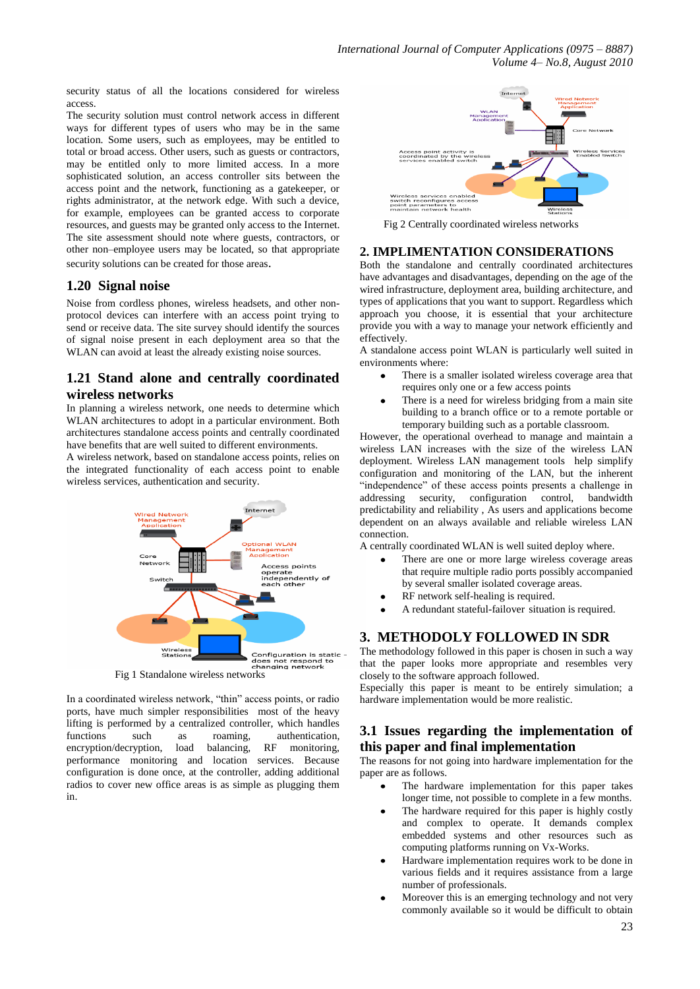security status of all the locations considered for wireless access.

The security solution must control network access in different ways for different types of users who may be in the same location. Some users, such as employees, may be entitled to total or broad access. Other users, such as guests or contractors, may be entitled only to more limited access. In a more sophisticated solution, an access controller sits between the access point and the network, functioning as a gatekeeper, or rights administrator, at the network edge. With such a device, for example, employees can be granted access to corporate resources, and guests may be granted only access to the Internet. The site assessment should note where guests, contractors, or other non–employee users may be located, so that appropriate security solutions can be created for those areas.

### **1.20 Signal noise**

Noise from cordless phones, wireless headsets, and other nonprotocol devices can interfere with an access point trying to send or receive data. The site survey should identify the sources of signal noise present in each deployment area so that the WLAN can avoid at least the already existing noise sources.

# **1.21 Stand alone and centrally coordinated wireless networks**

In planning a wireless network, one needs to determine which WLAN architectures to adopt in a particular environment. Both architectures standalone access points and centrally coordinated have benefits that are well suited to different environments.

A wireless network, based on standalone access points, relies on the integrated functionality of each access point to enable wireless services, authentication and security.



In a coordinated wireless network, "thin" access points, or radio ports, have much simpler responsibilities most of the heavy lifting is performed by a centralized controller, which handles functions such as roaming, authentication, encryption/decryption, load balancing, RF monitoring, performance monitoring and location services. Because configuration is done once, at the controller, adding additional radios to cover new office areas is as simple as plugging them in.



Fig 2 Centrally coordinated wireless networks

#### **2. IMPLIMENTATION CONSIDERATIONS**

Both the standalone and centrally coordinated architectures have advantages and disadvantages, depending on the age of the wired infrastructure, deployment area, building architecture, and types of applications that you want to support. Regardless which approach you choose, it is essential that your architecture provide you with a way to manage your network efficiently and effectively.

A standalone access point WLAN is particularly well suited in environments where:

- There is a smaller isolated wireless coverage area that requires only one or a few access points
- There is a need for wireless bridging from a main site building to a branch office or to a remote portable or temporary building such as a portable classroom.

However, the operational overhead to manage and maintain a wireless LAN increases with the size of the wireless LAN deployment. Wireless LAN management tools help simplify configuration and monitoring of the LAN, but the inherent "independence" of these access points presents a challenge in addressing security, configuration control, bandwidth predictability and reliability , As users and applications become dependent on an always available and reliable wireless LAN connection.

A centrally coordinated WLAN is well suited deploy where.

- There are one or more large wireless coverage areas that require multiple radio ports possibly accompanied by several smaller isolated coverage areas.
- RF network self-healing is required.
- A redundant stateful-failover situation is required.

#### **3. METHODOLY FOLLOWED IN SDR**

The methodology followed in this paper is chosen in such a way that the paper looks more appropriate and resembles very closely to the software approach followed.

Especially this paper is meant to be entirely simulation; a hardware implementation would be more realistic.

#### **3.1 Issues regarding the implementation of this paper and final implementation**

The reasons for not going into hardware implementation for the paper are as follows.

- The hardware implementation for this paper takes longer time, not possible to complete in a few months.
- The hardware required for this paper is highly costly and complex to operate. It demands complex embedded systems and other resources such as computing platforms running on Vx-Works.
- Hardware implementation requires work to be done in various fields and it requires assistance from a large number of professionals.
- Moreover this is an emerging technology and not very commonly available so it would be difficult to obtain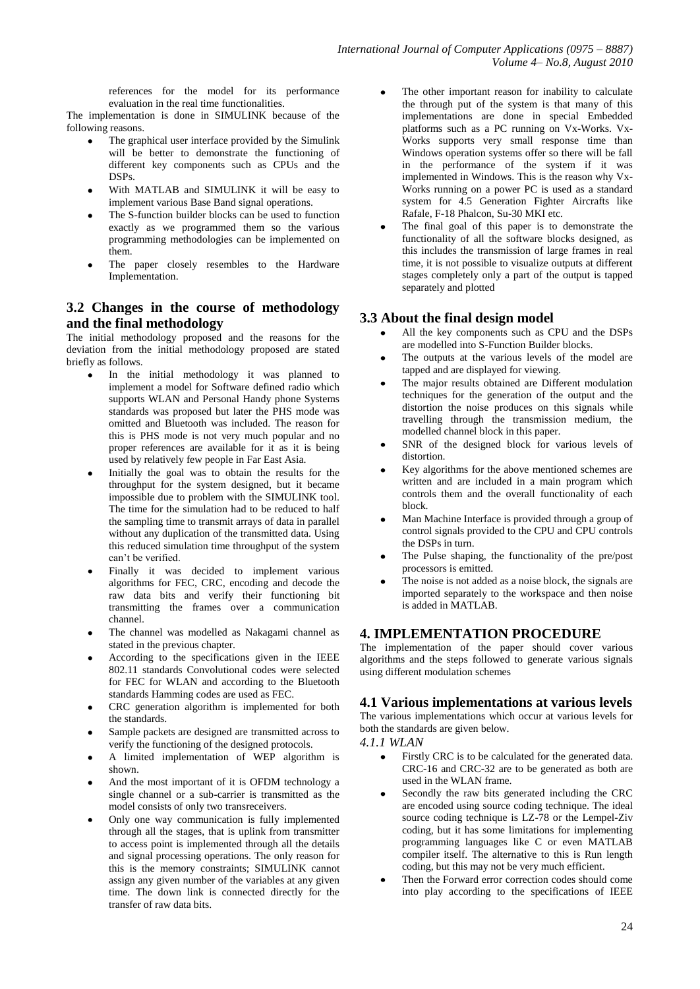references for the model for its performance evaluation in the real time functionalities.

The implementation is done in SIMULINK because of the following reasons.

- The graphical user interface provided by the Simulink will be better to demonstrate the functioning of different key components such as CPUs and the DSPs.
- With MATLAB and SIMULINK it will be easy to implement various Base Band signal operations.
- The S-function builder blocks can be used to function exactly as we programmed them so the various programming methodologies can be implemented on them.
- The paper closely resembles to the Hardware Implementation.

# **3.2 Changes in the course of methodology and the final methodology**

The initial methodology proposed and the reasons for the deviation from the initial methodology proposed are stated briefly as follows.

- In the initial methodology it was planned to implement a model for Software defined radio which supports WLAN and Personal Handy phone Systems standards was proposed but later the PHS mode was omitted and Bluetooth was included. The reason for this is PHS mode is not very much popular and no proper references are available for it as it is being used by relatively few people in Far East Asia.
- Initially the goal was to obtain the results for the throughput for the system designed, but it became impossible due to problem with the SIMULINK tool. The time for the simulation had to be reduced to half the sampling time to transmit arrays of data in parallel without any duplication of the transmitted data. Using this reduced simulation time throughput of the system can't be verified.
- Finally it was decided to implement various algorithms for FEC, CRC, encoding and decode the raw data bits and verify their functioning bit transmitting the frames over a communication channel.
- The channel was modelled as Nakagami channel as stated in the previous chapter.
- According to the specifications given in the IEEE 802.11 standards Convolutional codes were selected for FEC for WLAN and according to the Bluetooth standards Hamming codes are used as FEC.
- CRC generation algorithm is implemented for both  $\bullet$ the standards.
- Sample packets are designed are transmitted across to verify the functioning of the designed protocols.
- A limited implementation of WEP algorithm is shown.
- And the most important of it is OFDM technology a single channel or a sub-carrier is transmitted as the model consists of only two transreceivers.
- Only one way communication is fully implemented through all the stages, that is uplink from transmitter to access point is implemented through all the details and signal processing operations. The only reason for this is the memory constraints; SIMULINK cannot assign any given number of the variables at any given time. The down link is connected directly for the transfer of raw data bits.
- The other important reason for inability to calculate the through put of the system is that many of this implementations are done in special Embedded platforms such as a PC running on Vx-Works. Vx-Works supports very small response time than Windows operation systems offer so there will be fall in the performance of the system if it was implemented in Windows. This is the reason why Vx-Works running on a power PC is used as a standard system for 4.5 Generation Fighter Aircrafts like Rafale, F-18 Phalcon, Su-30 MKI etc.
- The final goal of this paper is to demonstrate the functionality of all the software blocks designed, as this includes the transmission of large frames in real time, it is not possible to visualize outputs at different stages completely only a part of the output is tapped separately and plotted

# **3.3 About the final design model**

- All the key components such as CPU and the DSPs are modelled into S-Function Builder blocks.
- The outputs at the various levels of the model are tapped and are displayed for viewing.
- The major results obtained are Different modulation techniques for the generation of the output and the distortion the noise produces on this signals while travelling through the transmission medium, the modelled channel block in this paper.
- SNR of the designed block for various levels of distortion.
- Key algorithms for the above mentioned schemes are written and are included in a main program which controls them and the overall functionality of each block.
- Man Machine Interface is provided through a group of control signals provided to the CPU and CPU controls the DSPs in turn.
- The Pulse shaping, the functionality of the pre/post processors is emitted.
- The noise is not added as a noise block, the signals are imported separately to the workspace and then noise is added in MATLAB.

# **4. IMPLEMENTATION PROCEDURE**

The implementation of the paper should cover various algorithms and the steps followed to generate various signals using different modulation schemes

#### **4.1 Various implementations at various levels**

The various implementations which occur at various levels for both the standards are given below.

- *4.1.1 WLAN*
	- Firstly CRC is to be calculated for the generated data. CRC-16 and CRC-32 are to be generated as both are used in the WLAN frame.
	- Secondly the raw bits generated including the CRC are encoded using source coding technique. The ideal source coding technique is LZ-78 or the Lempel-Ziv coding, but it has some limitations for implementing programming languages like C or even MATLAB compiler itself. The alternative to this is Run length coding, but this may not be very much efficient.
	- Then the Forward error correction codes should come into play according to the specifications of IEEE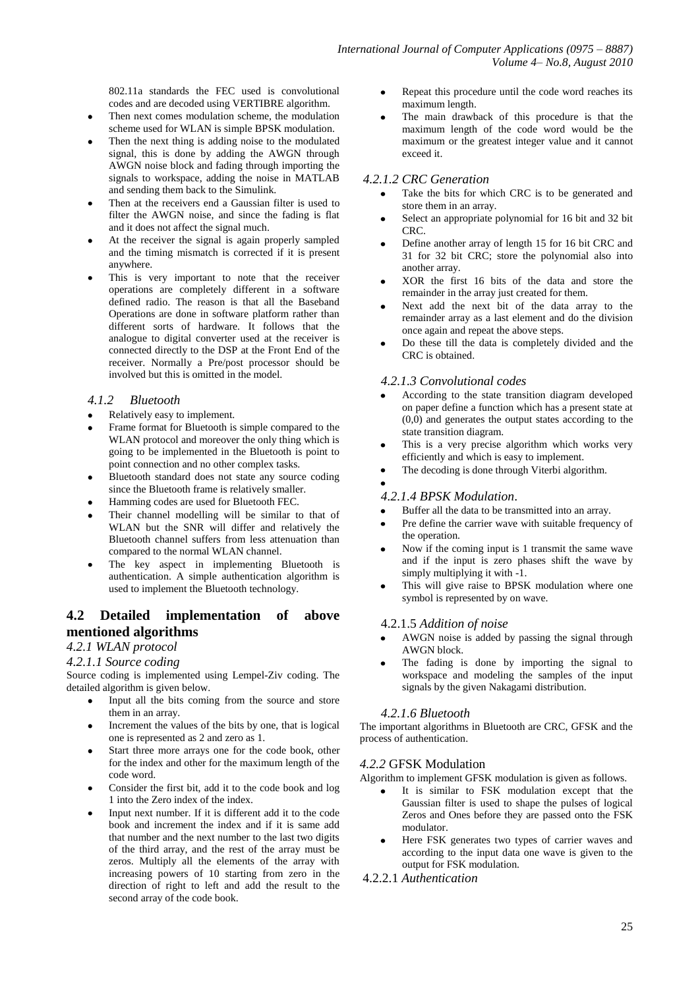802.11a standards the FEC used is convolutional codes and are decoded using VERTIBRE algorithm.

- Then next comes modulation scheme, the modulation scheme used for WLAN is simple BPSK modulation.
- Then the next thing is adding noise to the modulated signal, this is done by adding the AWGN through AWGN noise block and fading through importing the signals to workspace, adding the noise in MATLAB and sending them back to the Simulink.
- Then at the receivers end a Gaussian filter is used to filter the AWGN noise, and since the fading is flat and it does not affect the signal much.
- At the receiver the signal is again properly sampled and the timing mismatch is corrected if it is present anywhere.
- This is very important to note that the receiver operations are completely different in a software defined radio. The reason is that all the Baseband Operations are done in software platform rather than different sorts of hardware. It follows that the analogue to digital converter used at the receiver is connected directly to the DSP at the Front End of the receiver. Normally a Pre/post processor should be involved but this is omitted in the model.

#### *4.1.2 Bluetooth*

- Relatively easy to implement.
- Frame format for Bluetooth is simple compared to the WLAN protocol and moreover the only thing which is going to be implemented in the Bluetooth is point to point connection and no other complex tasks.
- Bluetooth standard does not state any source coding  $\bullet$ since the Bluetooth frame is relatively smaller.
- Hamming codes are used for Bluetooth FEC.
- Their channel modelling will be similar to that of WLAN but the SNR will differ and relatively the Bluetooth channel suffers from less attenuation than compared to the normal WLAN channel.
- The key aspect in implementing Bluetooth is authentication. A simple authentication algorithm is used to implement the Bluetooth technology.

# **4.2 Detailed implementation of above mentioned algorithms**

### *4.2.1 WLAN protocol*

#### *4.2.1.1 Source coding*

Source coding is implemented using Lempel-Ziv coding. The detailed algorithm is given below.

- Input all the bits coming from the source and store  $\bullet$ them in an array.
- Increment the values of the bits by one, that is logical  $\bullet$ one is represented as 2 and zero as 1.
- Start three more arrays one for the code book, other for the index and other for the maximum length of the code word.
- Consider the first bit, add it to the code book and log 1 into the Zero index of the index.
- Input next number. If it is different add it to the code  $\bullet$ book and increment the index and if it is same add that number and the next number to the last two digits of the third array, and the rest of the array must be zeros. Multiply all the elements of the array with increasing powers of 10 starting from zero in the direction of right to left and add the result to the second array of the code book.
- Repeat this procedure until the code word reaches its maximum length.
- The main drawback of this procedure is that the maximum length of the code word would be the maximum or the greatest integer value and it cannot exceed it.

#### *4.2.1.2 CRC Generation*

- Take the bits for which CRC is to be generated and store them in an array.
- Select an appropriate polynomial for 16 bit and 32 bit CRC.
- Define another array of length 15 for 16 bit CRC and 31 for 32 bit CRC; store the polynomial also into another array.
- XOR the first 16 bits of the data and store the remainder in the array just created for them.
- Next add the next bit of the data array to the remainder array as a last element and do the division once again and repeat the above steps.
- Do these till the data is completely divided and the CRC is obtained.

#### *4.2.1.3 Convolutional codes*

- According to the state transition diagram developed on paper define a function which has a present state at  $(0,0)$  and generates the output states according to the state transition diagram.
- This is a very precise algorithm which works very efficiently and which is easy to implement.
- The decoding is done through Viterbi algorithm.

#### *4.2.1.4 BPSK Modulation*.

- Buffer all the data to be transmitted into an array.
- Pre define the carrier wave with suitable frequency of the operation.
- Now if the coming input is 1 transmit the same wave and if the input is zero phases shift the wave by simply multiplying it with -1.
- This will give raise to BPSK modulation where one symbol is represented by on wave.

#### 4.2.1.5 *Addition of noise*

- AWGN noise is added by passing the signal through AWGN block.
- The fading is done by importing the signal to workspace and modeling the samples of the input signals by the given Nakagami distribution.

#### *4.2.1.6 Bluetooth*

The important algorithms in Bluetooth are CRC, GFSK and the process of authentication.

#### *4.2.2* GFSK Modulation

Algorithm to implement GFSK modulation is given as follows.

- It is similar to FSK modulation except that the Gaussian filter is used to shape the pulses of logical Zeros and Ones before they are passed onto the FSK modulator.
- Here FSK generates two types of carrier waves and according to the input data one wave is given to the output for FSK modulation.

#### 4.2.2.1 *Authentication*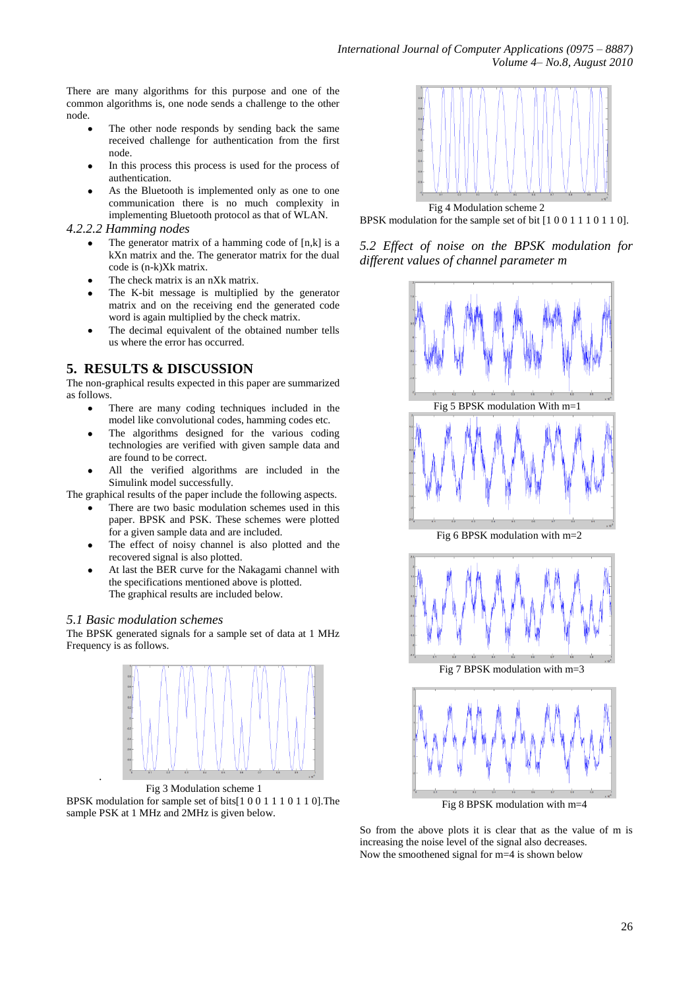There are many algorithms for this purpose and one of the common algorithms is, one node sends a challenge to the other node.

- The other node responds by sending back the same received challenge for authentication from the first node.
- In this process this process is used for the process of authentication.
- As the Bluetooth is implemented only as one to one communication there is no much complexity in implementing Bluetooth protocol as that of WLAN.

#### *4.2.2.2 Hamming nodes*

- The generator matrix of a hamming code of [n,k] is a kXn matrix and the. The generator matrix for the dual code is (n-k)Xk matrix.
- The check matrix is an nXk matrix.
- The K-bit message is multiplied by the generator matrix and on the receiving end the generated code word is again multiplied by the check matrix.
- $\bullet$ The decimal equivalent of the obtained number tells us where the error has occurred.

# **5. RESULTS & DISCUSSION**

The non-graphical results expected in this paper are summarized as follows.

- There are many coding techniques included in the model like convolutional codes, hamming codes etc.
- The algorithms designed for the various coding technologies are verified with given sample data and are found to be correct.
- All the verified algorithms are included in the Simulink model successfully.

The graphical results of the paper include the following aspects.

- There are two basic modulation schemes used in this paper. BPSK and PSK. These schemes were plotted for a given sample data and are included.
- The effect of noisy channel is also plotted and the recovered signal is also plotted.
- At last the BER curve for the Nakagami channel with the specifications mentioned above is plotted. The graphical results are included below.

#### *5.1 Basic modulation schemes*

.

The BPSK generated signals for a sample set of data at 1 MHz Frequency is as follows.



 Fig 3 Modulation scheme 1 BPSK modulation for sample set of bits[1 0 0 1 1 1 0 1 1 0].The sample PSK at 1 MHz and 2MHz is given below.



 Fig 4 Modulation scheme 2 BPSK modulation for the sample set of bit [1 0 0 1 1 1 0 1 1 0].

*5.2 Effect of noise on the BPSK modulation for different values of channel parameter m*



Fig 8 BPSK modulation with m=4

So from the above plots it is clear that as the value of m is increasing the noise level of the signal also decreases. Now the smoothened signal for m=4 is shown below